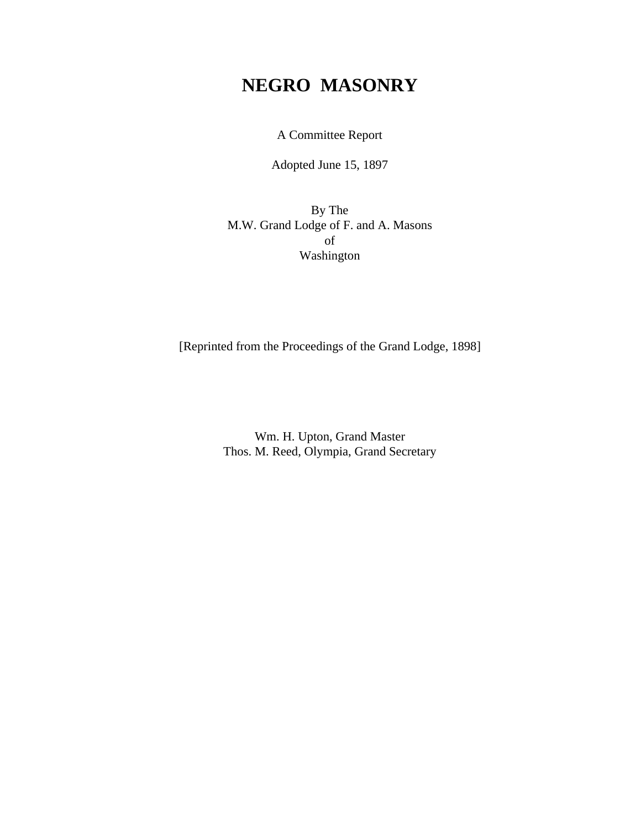# **NEGRO MASONRY**

A Committee Report

Adopted June 15, 1897

By The M.W. Grand Lodge of F. and A. Masons of Washington

[Reprinted from the Proceedings of the Grand Lodge, 1898]

Wm. H. Upton, Grand Master Thos. M. Reed, Olympia, Grand Secretary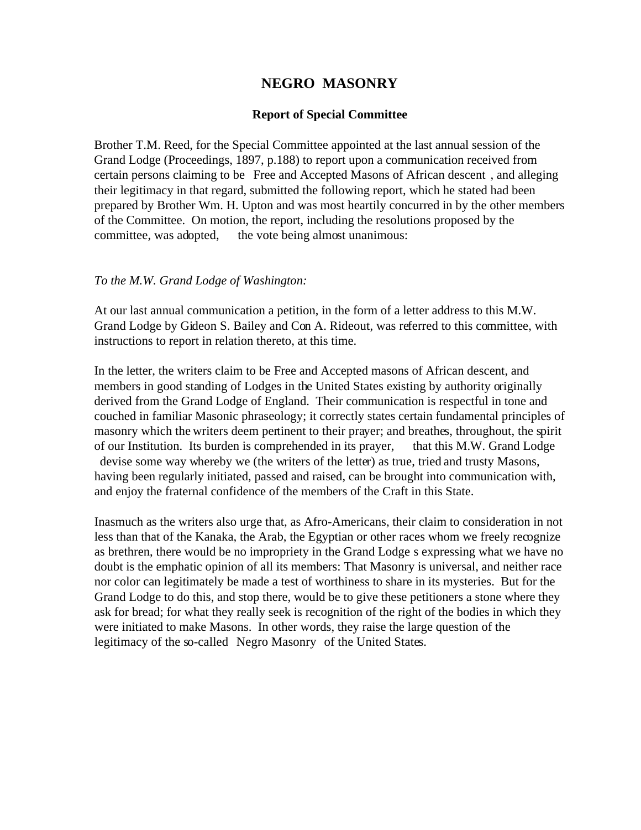# **NEGRO MASONRY**

### **Report of Special Committee**

Brother T.M. Reed, for the Special Committee appointed at the last annual session of the Grand Lodge (Proceedings, 1897, p.188) to report upon a communication received from certain persons claiming to be Free and Accepted Masons of African descent , and alleging their legitimacy in that regard, submitted the following report, which he stated had been prepared by Brother Wm. H. Upton and was most heartily concurred in by the other members of the Committee. On motion, the report, including the resolutions proposed by the committee, was adopted, the vote being almost unanimous:

#### *To the M.W. Grand Lodge of Washington:*

At our last annual communication a petition, in the form of a letter address to this M.W. Grand Lodge by Gideon S. Bailey and Con A. Rideout, was referred to this committee, with instructions to report in relation thereto, at this time.

In the letter, the writers claim to be Free and Accepted masons of African descent, and members in good standing of Lodges in the United States existing by authority originally derived from the Grand Lodge of England. Their communication is respectful in tone and couched in familiar Masonic phraseology; it correctly states certain fundamental principles of masonry which the writers deem pertinent to their prayer; and breathes, throughout, the spirit of our Institution. Its burden is comprehended in its prayer, that this M.W. Grand Lodge devise some way whereby we (the writers of the letter) as true, tried and trusty Masons, having been regularly initiated, passed and raised, can be brought into communication with, and enjoy the fraternal confidence of the members of the Craft in this State.

Inasmuch as the writers also urge that, as Afro-Americans, their claim to consideration in not less than that of the Kanaka, the Arab, the Egyptian or other races whom we freely recognize as brethren, there would be no impropriety in the Grand Lodge s expressing what we have no doubt is the emphatic opinion of all its members: That Masonry is universal, and neither race nor color can legitimately be made a test of worthiness to share in its mysteries. But for the Grand Lodge to do this, and stop there, would be to give these petitioners a stone where they ask for bread; for what they really seek is recognition of the right of the bodies in which they were initiated to make Masons. In other words, they raise the large question of the legitimacy of the so-called Negro Masonry of the United States.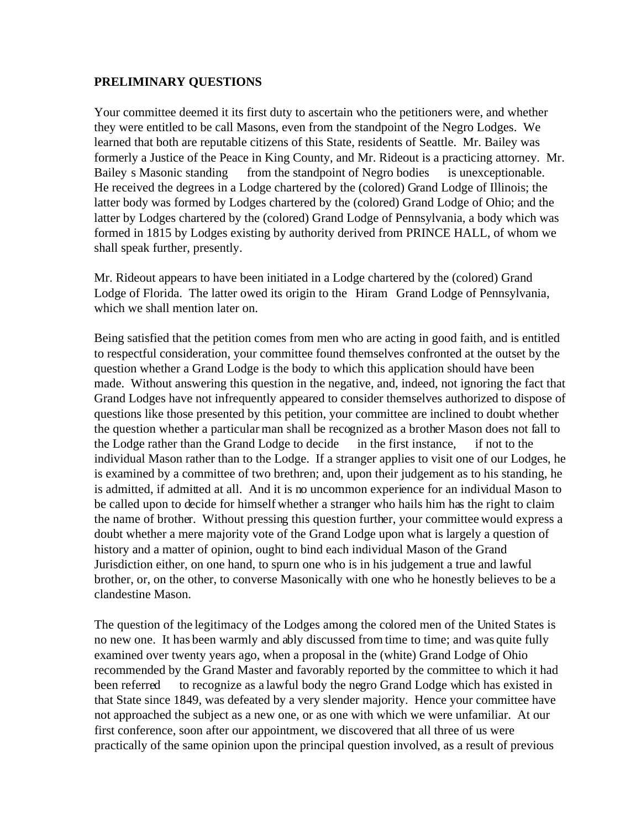## **PRELIMINARY QUESTIONS**

Your committee deemed it its first duty to ascertain who the petitioners were, and whether they were entitled to be call Masons, even from the standpoint of the Negro Lodges. We learned that both are reputable citizens of this State, residents of Seattle. Mr. Bailey was formerly a Justice of the Peace in King County, and Mr. Rideout is a practicing attorney. Mr. Bailey s Masonic standing from the standpoint of Negro bodies is unexceptionable. He received the degrees in a Lodge chartered by the (colored) Grand Lodge of Illinois; the latter body was formed by Lodges chartered by the (colored) Grand Lodge of Ohio; and the latter by Lodges chartered by the (colored) Grand Lodge of Pennsylvania, a body which was formed in 1815 by Lodges existing by authority derived from PRINCE HALL, of whom we shall speak further, presently.

Mr. Rideout appears to have been initiated in a Lodge chartered by the (colored) Grand Lodge of Florida. The latter owed its origin to the Hiram Grand Lodge of Pennsylvania, which we shall mention later on.

Being satisfied that the petition comes from men who are acting in good faith, and is entitled to respectful consideration, your committee found themselves confronted at the outset by the question whether a Grand Lodge is the body to which this application should have been made. Without answering this question in the negative, and, indeed, not ignoring the fact that Grand Lodges have not infrequently appeared to consider themselves authorized to dispose of questions like those presented by this petition, your committee are inclined to doubt whether the question whether a particular man shall be recognized as a brother Mason does not fall to the Lodge rather than the Grand Lodge to decide in the first instance, if not to the individual Mason rather than to the Lodge. If a stranger applies to visit one of our Lodges, he is examined by a committee of two brethren; and, upon their judgement as to his standing, he is admitted, if admitted at all. And it is no uncommon experience for an individual Mason to be called upon to decide for himself whether a stranger who hails him has the right to claim the name of brother. Without pressing this question further, your committee would express a doubt whether a mere majority vote of the Grand Lodge upon what is largely a question of history and a matter of opinion, ought to bind each individual Mason of the Grand Jurisdiction either, on one hand, to spurn one who is in his judgement a true and lawful brother, or, on the other, to converse Masonically with one who he honestly believes to be a clandestine Mason.

The question of the legitimacy of the Lodges among the colored men of the United States is no new one. It has been warmly and ably discussed from time to time; and was quite fully examined over twenty years ago, when a proposal in the (white) Grand Lodge of Ohio recommended by the Grand Master and favorably reported by the committee to which it had been referred to recognize as a lawful body the negro Grand Lodge which has existed in that State since 1849, was defeated by a very slender majority. Hence your committee have not approached the subject as a new one, or as one with which we were unfamiliar. At our first conference, soon after our appointment, we discovered that all three of us were practically of the same opinion upon the principal question involved, as a result of previous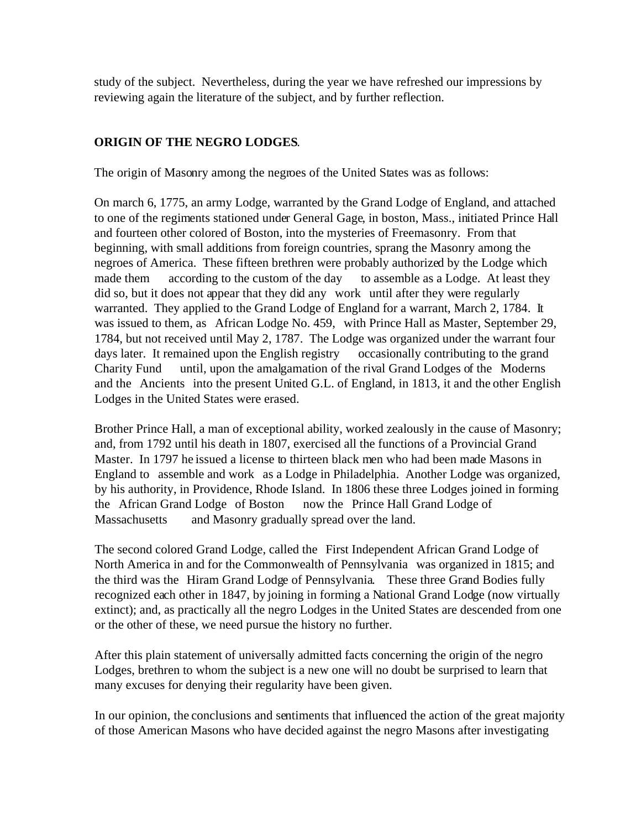study of the subject. Nevertheless, during the year we have refreshed our impressions by reviewing again the literature of the subject, and by further reflection.

# **ORIGIN OF THE NEGRO LODGES**.

The origin of Masonry among the negroes of the United States was as follows:

On march 6, 1775, an army Lodge, warranted by the Grand Lodge of England, and attached to one of the regiments stationed under General Gage, in boston, Mass., initiated Prince Hall and fourteen other colored of Boston, into the mysteries of Freemasonry. From that beginning, with small additions from foreign countries, sprang the Masonry among the negroes of America. These fifteen brethren were probably authorized by the Lodge which made them according to the custom of the day to assemble as a Lodge. At least they did so, but it does not appear that they did any work until after they were regularly warranted. They applied to the Grand Lodge of England for a warrant, March 2, 1784. It was issued to them, as African Lodge No. 459, with Prince Hall as Master, September 29, 1784, but not received until May 2, 1787. The Lodge was organized under the warrant four days later. It remained upon the English registry occasionally contributing to the grand Charity Fund until, upon the amalgamation of the rival Grand Lodges of the Moderns and the Ancients into the present United G.L. of England, in 1813, it and the other English Lodges in the United States were erased.

Brother Prince Hall, a man of exceptional ability, worked zealously in the cause of Masonry; and, from 1792 until his death in 1807, exercised all the functions of a Provincial Grand Master. In 1797 he issued a license to thirteen black men who had been made Masons in England to assemble and work as a Lodge in Philadelphia. Another Lodge was organized, by his authority, in Providence, Rhode Island. In 1806 these three Lodges joined in forming the African Grand Lodge of Boston now the Prince Hall Grand Lodge of Massachusetts and Masonry gradually spread over the land.

The second colored Grand Lodge, called the First Independent African Grand Lodge of North America in and for the Commonwealth of Pennsylvania was organized in 1815; and the third was the Hiram Grand Lodge of Pennsylvania. These three Grand Bodies fully recognized each other in 1847, by joining in forming a National Grand Lodge (now virtually extinct); and, as practically all the negro Lodges in the United States are descended from one or the other of these, we need pursue the history no further.

After this plain statement of universally admitted facts concerning the origin of the negro Lodges, brethren to whom the subject is a new one will no doubt be surprised to learn that many excuses for denying their regularity have been given.

In our opinion, the conclusions and sentiments that influenced the action of the great majority of those American Masons who have decided against the negro Masons after investigating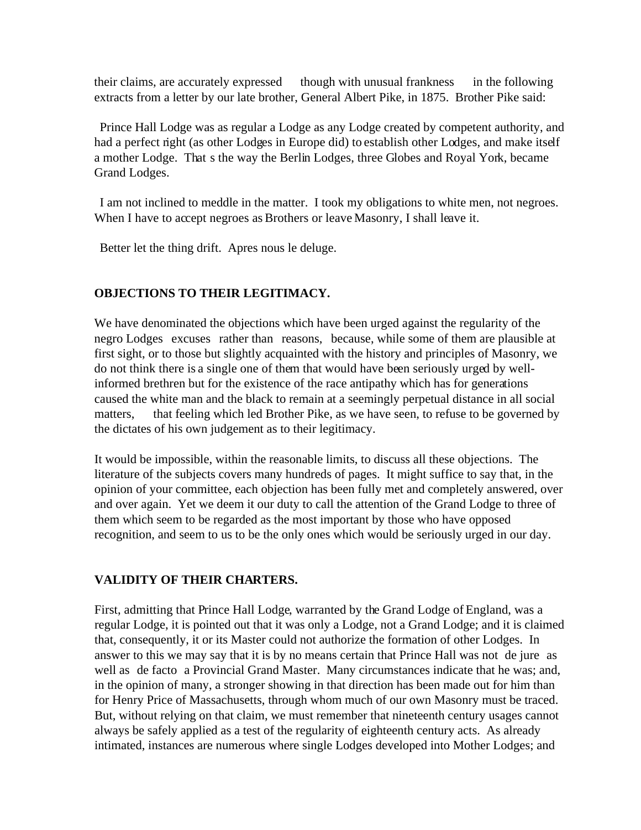their claims, are accurately expressed though with unusual frankness in the following extracts from a letter by our late brother, General Albert Pike, in 1875. Brother Pike said:

 Prince Hall Lodge was as regular a Lodge as any Lodge created by competent authority, and had a perfect right (as other Lodges in Europe did) to establish other Lodges, and make itself a mother Lodge. That s the way the Berlin Lodges, three Globes and Royal York, became Grand Lodges.

 I am not inclined to meddle in the matter. I took my obligations to white men, not negroes. When I have to accept negroes as Brothers or leave Masonry, I shall leave it.

Better let the thing drift. Apres nous le deluge.

# **OBJECTIONS TO THEIR LEGITIMACY.**

We have denominated the objections which have been urged against the regularity of the negro Lodges excuses rather than reasons, because, while some of them are plausible at first sight, or to those but slightly acquainted with the history and principles of Masonry, we do not think there is a single one of them that would have been seriously urged by wellinformed brethren but for the existence of the race antipathy which has for generations caused the white man and the black to remain at a seemingly perpetual distance in all social matters, that feeling which led Brother Pike, as we have seen, to refuse to be governed by the dictates of his own judgement as to their legitimacy.

It would be impossible, within the reasonable limits, to discuss all these objections. The literature of the subjects covers many hundreds of pages. It might suffice to say that, in the opinion of your committee, each objection has been fully met and completely answered, over and over again. Yet we deem it our duty to call the attention of the Grand Lodge to three of them which seem to be regarded as the most important by those who have opposed recognition, and seem to us to be the only ones which would be seriously urged in our day.

# **VALIDITY OF THEIR CHARTERS.**

First, admitting that Prince Hall Lodge, warranted by the Grand Lodge of England, was a regular Lodge, it is pointed out that it was only a Lodge, not a Grand Lodge; and it is claimed that, consequently, it or its Master could not authorize the formation of other Lodges. In answer to this we may say that it is by no means certain that Prince Hall was not de jure as well as de facto a Provincial Grand Master. Many circumstances indicate that he was; and, in the opinion of many, a stronger showing in that direction has been made out for him than for Henry Price of Massachusetts, through whom much of our own Masonry must be traced. But, without relying on that claim, we must remember that nineteenth century usages cannot always be safely applied as a test of the regularity of eighteenth century acts. As already intimated, instances are numerous where single Lodges developed into Mother Lodges; and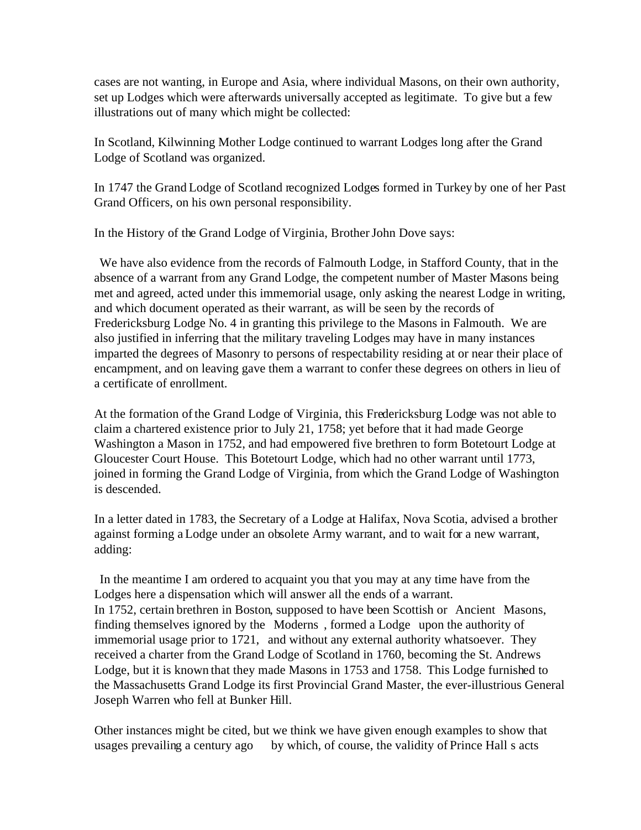cases are not wanting, in Europe and Asia, where individual Masons, on their own authority, set up Lodges which were afterwards universally accepted as legitimate. To give but a few illustrations out of many which might be collected:

In Scotland, Kilwinning Mother Lodge continued to warrant Lodges long after the Grand Lodge of Scotland was organized.

In 1747 the Grand Lodge of Scotland recognized Lodges formed in Turkey by one of her Past Grand Officers, on his own personal responsibility.

In the History of the Grand Lodge of Virginia, Brother John Dove says:

 We have also evidence from the records of Falmouth Lodge, in Stafford County, that in the absence of a warrant from any Grand Lodge, the competent number of Master Masons being met and agreed, acted under this immemorial usage, only asking the nearest Lodge in writing, and which document operated as their warrant, as will be seen by the records of Fredericksburg Lodge No. 4 in granting this privilege to the Masons in Falmouth. We are also justified in inferring that the military traveling Lodges may have in many instances imparted the degrees of Masonry to persons of respectability residing at or near their place of encampment, and on leaving gave them a warrant to confer these degrees on others in lieu of a certificate of enrollment.

At the formation of the Grand Lodge of Virginia, this Fredericksburg Lodge was not able to claim a chartered existence prior to July 21, 1758; yet before that it had made George Washington a Mason in 1752, and had empowered five brethren to form Botetourt Lodge at Gloucester Court House. This Botetourt Lodge, which had no other warrant until 1773, joined in forming the Grand Lodge of Virginia, from which the Grand Lodge of Washington is descended.

In a letter dated in 1783, the Secretary of a Lodge at Halifax, Nova Scotia, advised a brother against forming a Lodge under an obsolete Army warrant, and to wait for a new warrant, adding:

 In the meantime I am ordered to acquaint you that you may at any time have from the Lodges here a dispensation which will answer all the ends of a warrant. In 1752, certain brethren in Boston, supposed to have been Scottish or Ancient Masons, finding themselves ignored by the Moderns , formed a Lodge upon the authority of immemorial usage prior to 1721, and without any external authority whatsoever. They received a charter from the Grand Lodge of Scotland in 1760, becoming the St. Andrews Lodge, but it is known that they made Masons in 1753 and 1758. This Lodge furnished to the Massachusetts Grand Lodge its first Provincial Grand Master, the ever-illustrious General Joseph Warren who fell at Bunker Hill.

Other instances might be cited, but we think we have given enough examples to show that usages prevailing a century ago by which, of course, the validity of Prince Hall s acts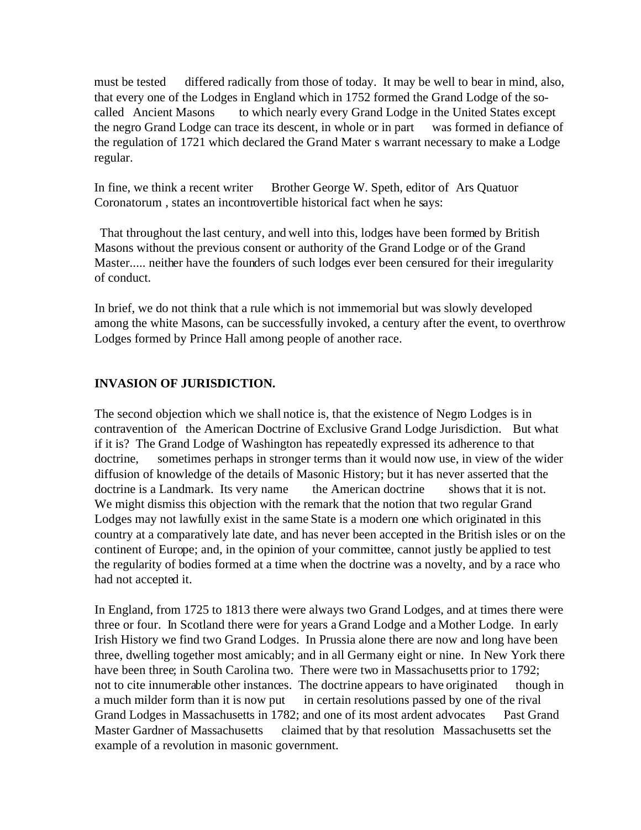must be tested differed radically from those of today. It may be well to bear in mind, also, that every one of the Lodges in England which in 1752 formed the Grand Lodge of the socalled Ancient Masons to which nearly every Grand Lodge in the United States except the negro Grand Lodge can trace its descent, in whole or in part was formed in defiance of the regulation of 1721 which declared the Grand Mater s warrant necessary to make a Lodge regular.

In fine, we think a recent writer Brother George W. Speth, editor of Ars Quatuor Coronatorum , states an incontrovertible historical fact when he says:

 That throughout the last century, and well into this, lodges have been formed by British Masons without the previous consent or authority of the Grand Lodge or of the Grand Master..... neither have the founders of such lodges ever been censured for their irregularity of conduct.

In brief, we do not think that a rule which is not immemorial but was slowly developed among the white Masons, can be successfully invoked, a century after the event, to overthrow Lodges formed by Prince Hall among people of another race.

# **INVASION OF JURISDICTION.**

The second objection which we shall notice is, that the existence of Negro Lodges is in contravention of the American Doctrine of Exclusive Grand Lodge Jurisdiction. But what if it is? The Grand Lodge of Washington has repeatedly expressed its adherence to that doctrine, sometimes perhaps in stronger terms than it would now use, in view of the wider diffusion of knowledge of the details of Masonic History; but it has never asserted that the doctrine is a Landmark. Its very name the American doctrine shows that it is not. We might dismiss this objection with the remark that the notion that two regular Grand Lodges may not lawfully exist in the same State is a modern one which originated in this country at a comparatively late date, and has never been accepted in the British isles or on the continent of Europe; and, in the opinion of your committee, cannot justly be applied to test the regularity of bodies formed at a time when the doctrine was a novelty, and by a race who had not accepted it.

In England, from 1725 to 1813 there were always two Grand Lodges, and at times there were three or four. In Scotland there were for years a Grand Lodge and a Mother Lodge. In early Irish History we find two Grand Lodges. In Prussia alone there are now and long have been three, dwelling together most amicably; and in all Germany eight or nine. In New York there have been three; in South Carolina two. There were two in Massachusetts prior to 1792; not to cite innumerable other instances. The doctrine appears to have originated though in a much milder form than it is now put in certain resolutions passed by one of the rival Grand Lodges in Massachusetts in 1782; and one of its most ardent advocates Past Grand Master Gardner of Massachusetts claimed that by that resolution Massachusetts set the example of a revolution in masonic government.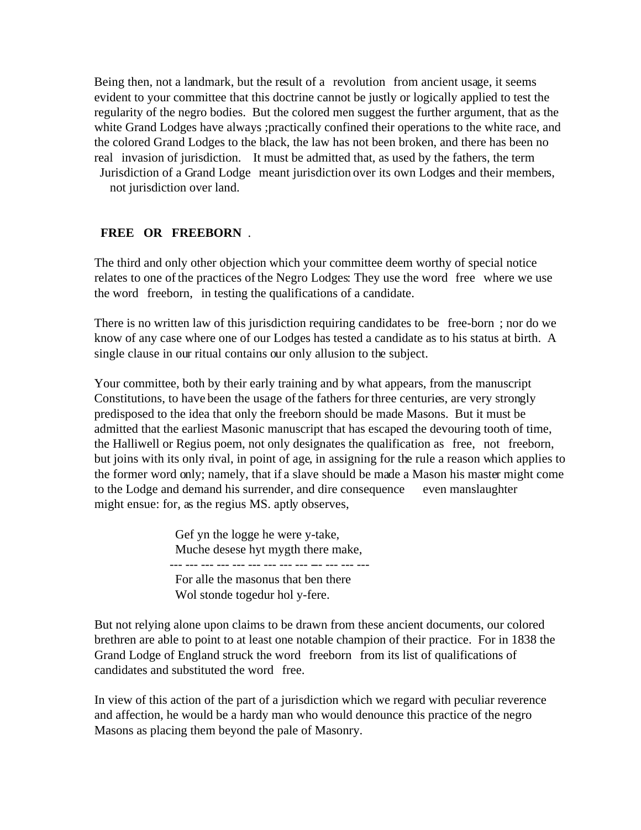Being then, not a landmark, but the result of a revolution from ancient usage, it seems evident to your committee that this doctrine cannot be justly or logically applied to test the regularity of the negro bodies. But the colored men suggest the further argument, that as the white Grand Lodges have always ;practically confined their operations to the white race, and the colored Grand Lodges to the black, the law has not been broken, and there has been no real invasion of jurisdiction. It must be admitted that, as used by the fathers, the term Jurisdiction of a Grand Lodge meant jurisdiction over its own Lodges and their members, not jurisdiction over land.

## **FREE OR FREEBORN**  .

The third and only other objection which your committee deem worthy of special notice relates to one of the practices of the Negro Lodges: They use the word free where we use the word freeborn, in testing the qualifications of a candidate.

There is no written law of this jurisdiction requiring candidates to be free-born ; nor do we know of any case where one of our Lodges has tested a candidate as to his status at birth. A single clause in our ritual contains our only allusion to the subject.

Your committee, both by their early training and by what appears, from the manuscript Constitutions, to have been the usage of the fathers for three centuries, are very strongly predisposed to the idea that only the freeborn should be made Masons. But it must be admitted that the earliest Masonic manuscript that has escaped the devouring tooth of time, the Halliwell or Regius poem, not only designates the qualification as free, not freeborn, but joins with its only rival, in point of age, in assigning for the rule a reason which applies to the former word only; namely, that if a slave should be made a Mason his master might come to the Lodge and demand his surrender, and dire consequence even manslaughter might ensue: for, as the regius MS. aptly observes,

> Gef yn the logge he were y-take, Muche desese hyt mygth there make, --- --- --- --- --- --- --- --- --- --- --- --- --- For alle the masonus that ben there Wol stonde togedur hol y-fere.

But not relying alone upon claims to be drawn from these ancient documents, our colored brethren are able to point to at least one notable champion of their practice. For in 1838 the Grand Lodge of England struck the word freeborn from its list of qualifications of candidates and substituted the word free.

In view of this action of the part of a jurisdiction which we regard with peculiar reverence and affection, he would be a hardy man who would denounce this practice of the negro Masons as placing them beyond the pale of Masonry.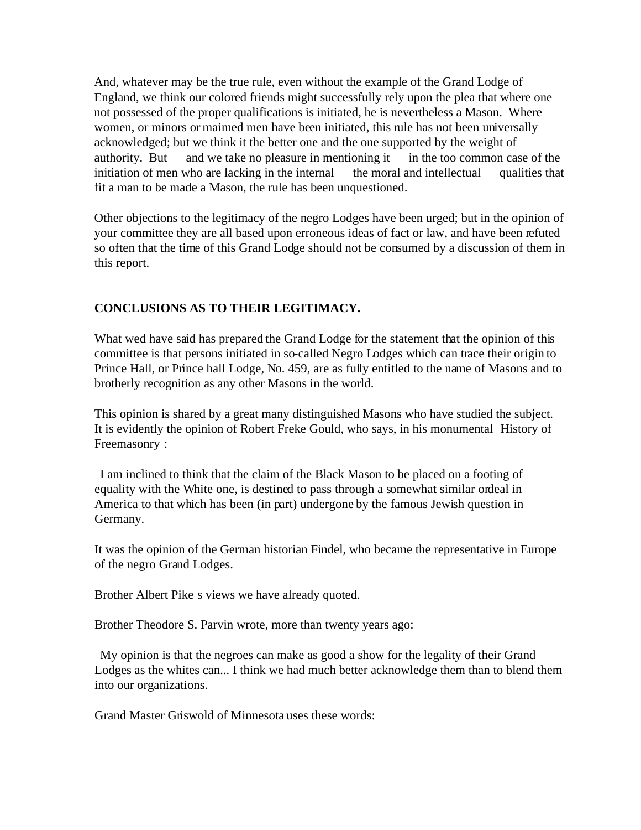And, whatever may be the true rule, even without the example of the Grand Lodge of England, we think our colored friends might successfully rely upon the plea that where one not possessed of the proper qualifications is initiated, he is nevertheless a Mason. Where women, or minors or maimed men have been initiated, this rule has not been universally acknowledged; but we think it the better one and the one supported by the weight of authority. But and we take no pleasure in mentioning it in the too common case of the initiation of men who are lacking in the internal the moral and intellectual qualities that fit a man to be made a Mason, the rule has been unquestioned.

Other objections to the legitimacy of the negro Lodges have been urged; but in the opinion of your committee they are all based upon erroneous ideas of fact or law, and have been refuted so often that the time of this Grand Lodge should not be consumed by a discussion of them in this report.

# **CONCLUSIONS AS TO THEIR LEGITIMACY.**

What wed have said has prepared the Grand Lodge for the statement that the opinion of this committee is that persons initiated in so-called Negro Lodges which can trace their origin to Prince Hall, or Prince hall Lodge, No. 459, are as fully entitled to the name of Masons and to brotherly recognition as any other Masons in the world.

This opinion is shared by a great many distinguished Masons who have studied the subject. It is evidently the opinion of Robert Freke Gould, who says, in his monumental History of Freemasonry :

 I am inclined to think that the claim of the Black Mason to be placed on a footing of equality with the White one, is destined to pass through a somewhat similar ordeal in America to that which has been (in part) undergone by the famous Jewish question in Germany.

It was the opinion of the German historian Findel, who became the representative in Europe of the negro Grand Lodges.

Brother Albert Pike s views we have already quoted.

Brother Theodore S. Parvin wrote, more than twenty years ago:

 My opinion is that the negroes can make as good a show for the legality of their Grand Lodges as the whites can... I think we had much better acknowledge them than to blend them into our organizations.

Grand Master Griswold of Minnesota uses these words: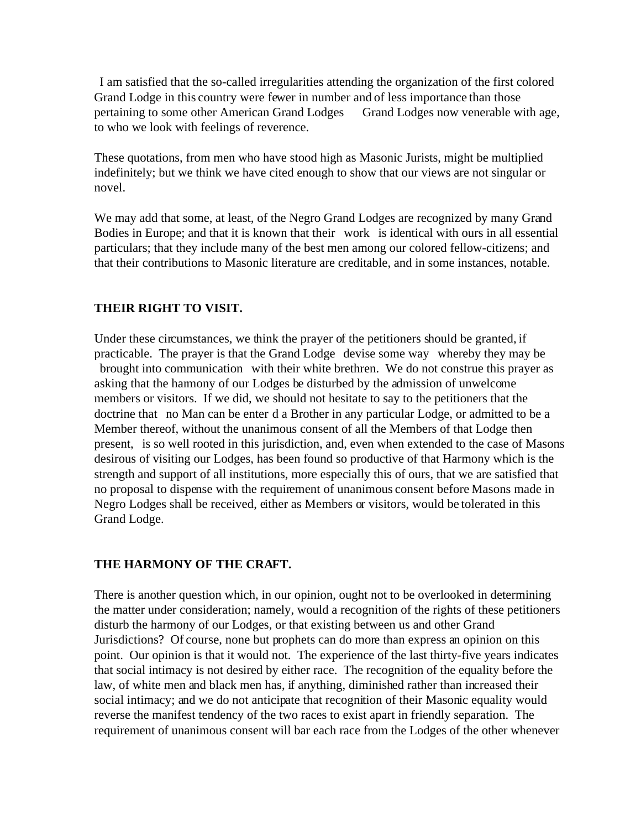I am satisfied that the so-called irregularities attending the organization of the first colored Grand Lodge in this country were fewer in number and of less importance than those pertaining to some other American Grand Lodges Grand Lodges now venerable with age, to who we look with feelings of reverence.

These quotations, from men who have stood high as Masonic Jurists, might be multiplied indefinitely; but we think we have cited enough to show that our views are not singular or novel.

We may add that some, at least, of the Negro Grand Lodges are recognized by many Grand Bodies in Europe; and that it is known that their work is identical with ours in all essential particulars; that they include many of the best men among our colored fellow-citizens; and that their contributions to Masonic literature are creditable, and in some instances, notable.

## **THEIR RIGHT TO VISIT.**

Under these circumstances, we think the prayer of the petitioners should be granted, if practicable. The prayer is that the Grand Lodge devise some way whereby they may be brought into communication with their white brethren. We do not construe this prayer as asking that the harmony of our Lodges be disturbed by the admission of unwelcome members or visitors. If we did, we should not hesitate to say to the petitioners that the doctrine that no Man can be enter d a Brother in any particular Lodge, or admitted to be a Member thereof, without the unanimous consent of all the Members of that Lodge then present, is so well rooted in this jurisdiction, and, even when extended to the case of Masons desirous of visiting our Lodges, has been found so productive of that Harmony which is the strength and support of all institutions, more especially this of ours, that we are satisfied that no proposal to dispense with the requirement of unanimous consent before Masons made in Negro Lodges shall be received, either as Members or visitors, would be tolerated in this Grand Lodge.

## **THE HARMONY OF THE CRAFT.**

There is another question which, in our opinion, ought not to be overlooked in determining the matter under consideration; namely, would a recognition of the rights of these petitioners disturb the harmony of our Lodges, or that existing between us and other Grand Jurisdictions? Of course, none but prophets can do more than express an opinion on this point. Our opinion is that it would not. The experience of the last thirty-five years indicates that social intimacy is not desired by either race. The recognition of the equality before the law, of white men and black men has, if anything, diminished rather than increased their social intimacy; and we do not anticipate that recognition of their Masonic equality would reverse the manifest tendency of the two races to exist apart in friendly separation. The requirement of unanimous consent will bar each race from the Lodges of the other whenever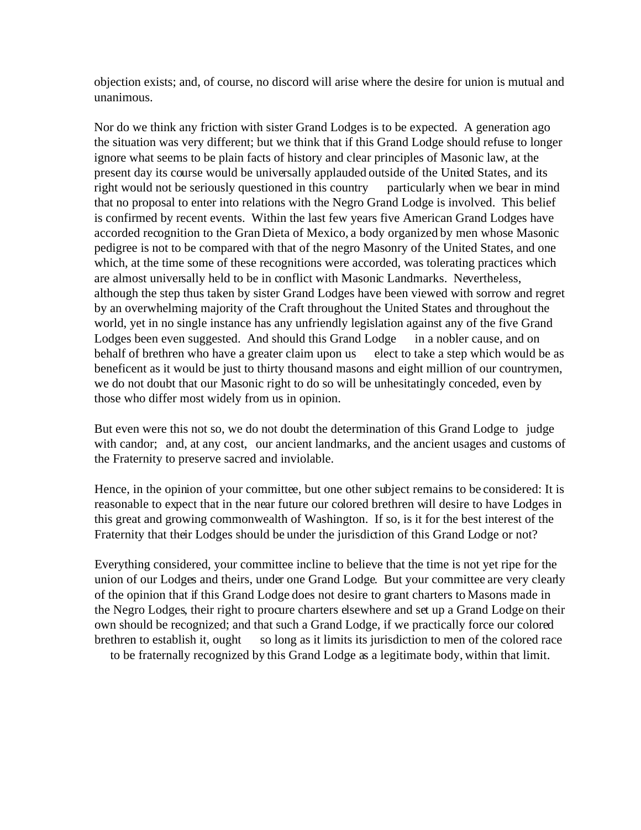objection exists; and, of course, no discord will arise where the desire for union is mutual and unanimous.

Nor do we think any friction with sister Grand Lodges is to be expected. A generation ago the situation was very different; but we think that if this Grand Lodge should refuse to longer ignore what seems to be plain facts of history and clear principles of Masonic law, at the present day its course would be universally applauded outside of the United States, and its right would not be seriously questioned in this country particularly when we bear in mind that no proposal to enter into relations with the Negro Grand Lodge is involved. This belief is confirmed by recent events. Within the last few years five American Grand Lodges have accorded recognition to the Gran Dieta of Mexico, a body organized by men whose Masonic pedigree is not to be compared with that of the negro Masonry of the United States, and one which, at the time some of these recognitions were accorded, was tolerating practices which are almost universally held to be in conflict with Masonic Landmarks. Nevertheless, although the step thus taken by sister Grand Lodges have been viewed with sorrow and regret by an overwhelming majority of the Craft throughout the United States and throughout the world, yet in no single instance has any unfriendly legislation against any of the five Grand Lodges been even suggested. And should this Grand Lodge in a nobler cause, and on behalf of brethren who have a greater claim upon us elect to take a step which would be as beneficent as it would be just to thirty thousand masons and eight million of our countrymen, we do not doubt that our Masonic right to do so will be unhesitatingly conceded, even by those who differ most widely from us in opinion.

But even were this not so, we do not doubt the determination of this Grand Lodge to judge with candor; and, at any cost, our ancient landmarks, and the ancient usages and customs of the Fraternity to preserve sacred and inviolable.

Hence, in the opinion of your committee, but one other subject remains to be considered: It is reasonable to expect that in the near future our colored brethren will desire to have Lodges in this great and growing commonwealth of Washington. If so, is it for the best interest of the Fraternity that their Lodges should be under the jurisdiction of this Grand Lodge or not?

Everything considered, your committee incline to believe that the time is not yet ripe for the union of our Lodges and theirs, under one Grand Lodge. But your committee are very clearly of the opinion that if this Grand Lodge does not desire to grant charters to Masons made in the Negro Lodges, their right to procure charters elsewhere and set up a Grand Lodge on their own should be recognized; and that such a Grand Lodge, if we practically force our colored brethren to establish it, ought so long as it limits its jurisdiction to men of the colored race to be fraternally recognized by this Grand Lodge as a legitimate body, within that limit.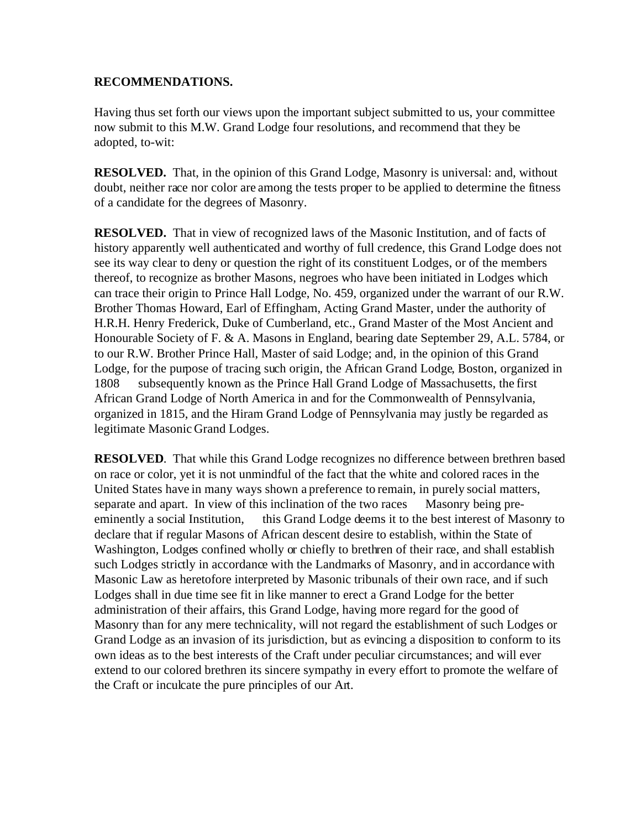#### **RECOMMENDATIONS.**

Having thus set forth our views upon the important subject submitted to us, your committee now submit to this M.W. Grand Lodge four resolutions, and recommend that they be adopted, to-wit:

**RESOLVED.** That, in the opinion of this Grand Lodge, Masonry is universal: and, without doubt, neither race nor color are among the tests proper to be applied to determine the fitness of a candidate for the degrees of Masonry.

**RESOLVED.** That in view of recognized laws of the Masonic Institution, and of facts of history apparently well authenticated and worthy of full credence, this Grand Lodge does not see its way clear to deny or question the right of its constituent Lodges, or of the members thereof, to recognize as brother Masons, negroes who have been initiated in Lodges which can trace their origin to Prince Hall Lodge, No. 459, organized under the warrant of our R.W. Brother Thomas Howard, Earl of Effingham, Acting Grand Master, under the authority of H.R.H. Henry Frederick, Duke of Cumberland, etc., Grand Master of the Most Ancient and Honourable Society of F. & A. Masons in England, bearing date September 29, A.L. 5784, or to our R.W. Brother Prince Hall, Master of said Lodge; and, in the opinion of this Grand Lodge, for the purpose of tracing such origin, the African Grand Lodge, Boston, organized in 1808 subsequently known as the Prince Hall Grand Lodge of Massachusetts, the first African Grand Lodge of North America in and for the Commonwealth of Pennsylvania, organized in 1815, and the Hiram Grand Lodge of Pennsylvania may justly be regarded as legitimate Masonic Grand Lodges.

**RESOLVED.** That while this Grand Lodge recognizes no difference between brethren based on race or color, yet it is not unmindful of the fact that the white and colored races in the United States have in many ways shown a preference to remain, in purely social matters, separate and apart. In view of this inclination of the two races Masonry being preeminently a social Institution, this Grand Lodge deems it to the best interest of Masonry to declare that if regular Masons of African descent desire to establish, within the State of Washington, Lodges confined wholly or chiefly to brethren of their race, and shall establish such Lodges strictly in accordance with the Landmarks of Masonry, and in accordance with Masonic Law as heretofore interpreted by Masonic tribunals of their own race, and if such Lodges shall in due time see fit in like manner to erect a Grand Lodge for the better administration of their affairs, this Grand Lodge, having more regard for the good of Masonry than for any mere technicality, will not regard the establishment of such Lodges or Grand Lodge as an invasion of its jurisdiction, but as evincing a disposition to conform to its own ideas as to the best interests of the Craft under peculiar circumstances; and will ever extend to our colored brethren its sincere sympathy in every effort to promote the welfare of the Craft or inculcate the pure principles of our Art.